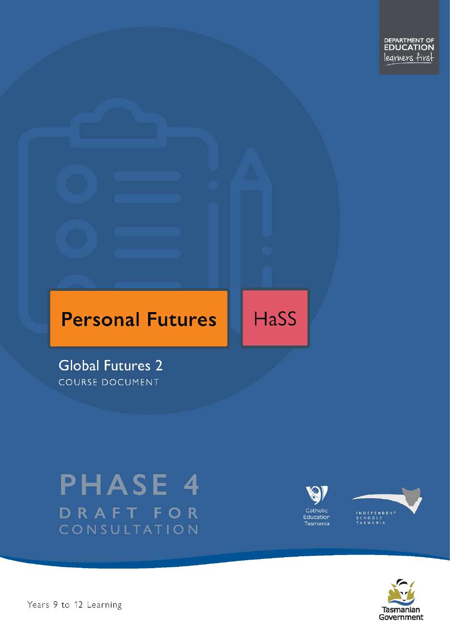DEPARTMENT OF<br>**EDUCATION** legrners first

# **Personal Futures**

**HaSS** 

**Global Futures 2** COURSE DOCUMENT

# **PHASE 4** DRAFT FOR CONSULTATION





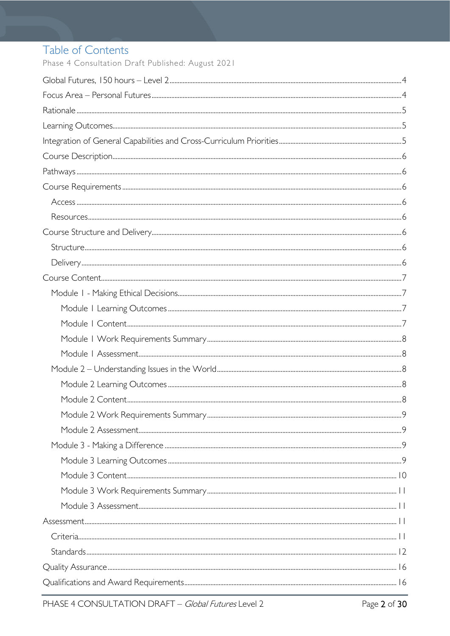# Table of Contents

Phase 4 Consultation Draft Published: August 2021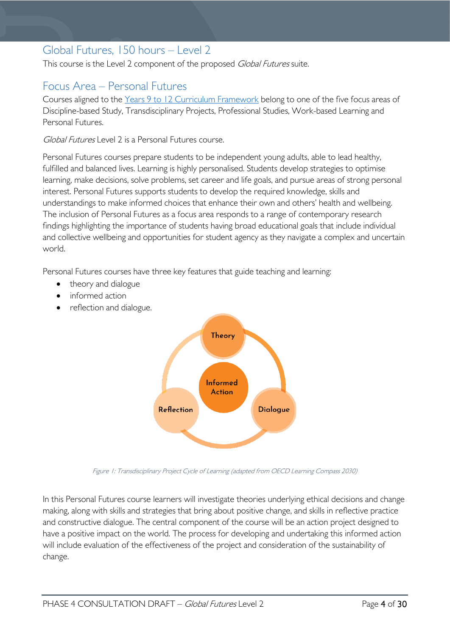# <span id="page-3-0"></span>Global Futures, 150 hours – Level 2

This course is the Level 2 component of the proposed Global Futures suite.

# <span id="page-3-1"></span>Focus Area – Personal Futures

Courses aligned to the Years 9 to 12 Curriculum [Framework](https://publicdocumentcentre.education.tas.gov.au/library/Shared%20Documents/Education%209-12%20Frameworks%20A3%20WEB%20POSTER.pdf) belong to one of the five focus areas of Discipline-based Study, Transdisciplinary Projects, Professional Studies, Work-based Learning and Personal Futures.

Global Futures Level 2 is a Personal Futures course.

Personal Futures courses prepare students to be independent young adults, able to lead healthy, fulfilled and balanced lives. Learning is highly personalised. Students develop strategies to optimise learning, make decisions, solve problems, set career and life goals, and pursue areas of strong personal interest. Personal Futures supports students to develop the required knowledge, skills and understandings to make informed choices that enhance their own and others' health and wellbeing. The inclusion of Personal Futures as a focus area responds to a range of contemporary research findings highlighting the importance of students having broad educational goals that include individual and collective wellbeing and opportunities for student agency as they navigate a complex and uncertain world.

Personal Futures courses have three key features that guide teaching and learning:

- theory and dialogue
- informed action
- reflection and dialogue.



Figure 1: Transdisciplinary Project Cycle of Learning (adapted from OECD Learning Compass 2030)

In this Personal Futures course learners will investigate theories underlying ethical decisions and change making, along with skills and strategies that bring about positive change, and skills in reflective practice and constructive dialogue. The central component of the course will be an action project designed to have a positive impact on the world. The process for developing and undertaking this informed action will include evaluation of the effectiveness of the project and consideration of the sustainability of change.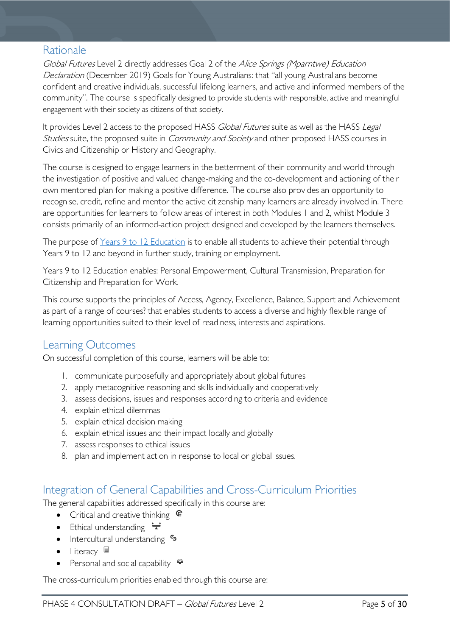### <span id="page-4-0"></span>Rationale

Global Futures Level 2 directly addresses Goal 2 of the Alice Springs (Mparntwe) Education Declaration (December 2019) Goals for Young Australians: that "all young Australians become confident and creative individuals, successful lifelong learners, and active and informed members of the community". The course is specifically designed to provide students with responsible, active and meaningful engagement with their society as citizens of that society.

It provides Level 2 access to the proposed HASS Global Futures suite as well as the HASS Legal Studies suite, the proposed suite in *Community and Society* and other proposed HASS courses in Civics and Citizenship or History and Geography.

The course is designed to engage learners in the betterment of their community and world through the investigation of positive and valued change-making and the co-development and actioning of their own mentored plan for making a positive difference. The course also provides an opportunity to recognise, credit, refine and mentor the active citizenship many learners are already involved in. There are opportunities for learners to follow areas of interest in both Modules 1 and 2, whilst Module 3 consists primarily of an informed-action project designed and developed by the learners themselves.

The purpose of [Years 9 to 12 Education](https://publicdocumentcentre.education.tas.gov.au/library/Shared%20Documents/Years-9-to-12-Education-Framework.pdf) is to enable all students to achieve their potential through Years 9 to 12 and beyond in further study, training or employment.

Years 9 to 12 Education enables: Personal Empowerment, Cultural Transmission, Preparation for Citizenship and Preparation for Work.

This course supports the principles of Access, Agency, Excellence, Balance, Support and Achievement as part of a range of courses? that enables students to access a diverse and highly flexible range of learning opportunities suited to their level of readiness, interests and aspirations.

# <span id="page-4-1"></span>Learning Outcomes

On successful completion of this course, learners will be able to:

- 1. communicate purposefully and appropriately about global futures
- 2. apply metacognitive reasoning and skills individually and cooperatively
- 3. assess decisions, issues and responses according to criteria and evidence
- 4. explain ethical dilemmas
- 5. explain ethical decision making
- 6. explain ethical issues and their impact locally and globally
- 7. assess responses to ethical issues
- 8. plan and implement action in response to local or global issues.

# <span id="page-4-2"></span>Integration of General Capabilities and Cross-Curriculum Priorities

The general capabilities addressed specifically in this course are:

- Critical and creative thinking  $\mathbb{C}$
- Ethical understanding  $\div$
- Intercultural understanding  $\frac{c_3}{b_1}$
- Literacy  $\blacksquare$
- Personal and social capability  $\ddot{\ddot{}}$

The cross-curriculum priorities enabled through this course are: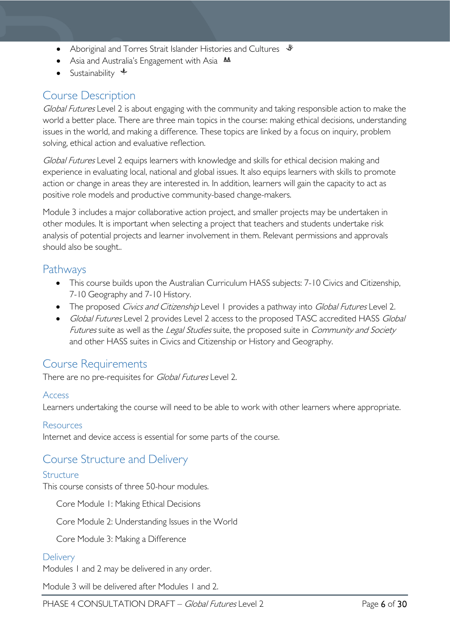- Aboriginal and Torres Strait Islander Histories and Cultures  $\mathcal$
- Asia and Australia's Engagement with Asia **AA**
- Sustainability  $\triangleq$

# <span id="page-5-0"></span>Course Description

Global Futures Level 2 is about engaging with the community and taking responsible action to make the world a better place. There are three main topics in the course: making ethical decisions, understanding issues in the world, and making a difference. These topics are linked by a focus on inquiry, problem solving, ethical action and evaluative reflection.

Global Futures Level 2 equips learners with knowledge and skills for ethical decision making and experience in evaluating local, national and global issues. It also equips learners with skills to promote action or change in areas they are interested in. In addition, learners will gain the capacity to act as positive role models and productive community-based change-makers.

Module 3 includes a major collaborative action project, and smaller projects may be undertaken in other modules. It is important when selecting a project that teachers and students undertake risk analysis of potential projects and learner involvement in them. Relevant permissions and approvals should also be sought..

# <span id="page-5-1"></span>Pathways

- This course builds upon the Australian Curriculum HASS subjects: 7-10 Civics and Citizenship, 7-10 Geography and 7-10 History.
- The proposed Civics and Citizenship Level 1 provides a pathway into Global Futures Level 2.
- Global Futures Level 2 provides Level 2 access to the proposed TASC accredited HASS Global Futures suite as well as the Legal Studies suite, the proposed suite in Community and Society and other HASS suites in Civics and Citizenship or History and Geography.

# <span id="page-5-2"></span>Course Requirements

There are no pre-requisites for *Global Futures* Level 2.

#### <span id="page-5-3"></span>Access

Learners undertaking the course will need to be able to work with other learners where appropriate.

#### <span id="page-5-4"></span>Resources

Internet and device access is essential for some parts of the course.

# <span id="page-5-5"></span>Course Structure and Delivery

#### <span id="page-5-6"></span>**Structure**

This course consists of three 50-hour modules.

Core Module 1: Making Ethical Decisions

Core Module 2: Understanding Issues in the World

Core Module 3: Making a Difference

#### <span id="page-5-7"></span>**Delivery**

Modules 1 and 2 may be delivered in any order.

Module 3 will be delivered after Modules 1 and 2.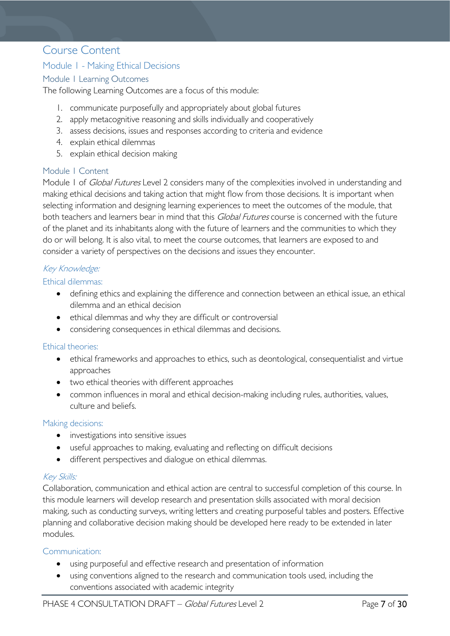### <span id="page-6-0"></span>Course Content

#### <span id="page-6-1"></span>Module 1 - Making Ethical Decisions

#### <span id="page-6-2"></span>Module 1 Learning Outcomes

The following Learning Outcomes are a focus of this module:

- 1. communicate purposefully and appropriately about global futures
- 2. apply metacognitive reasoning and skills individually and cooperatively
- 3. assess decisions, issues and responses according to criteria and evidence
- 4. explain ethical dilemmas
- 5. explain ethical decision making

#### <span id="page-6-3"></span>Module 1 Content

Module 1 of *Global Futures* Level 2 considers many of the complexities involved in understanding and making ethical decisions and taking action that might flow from those decisions. It is important when selecting information and designing learning experiences to meet the outcomes of the module, that both teachers and learners bear in mind that this Global Futures course is concerned with the future of the planet and its inhabitants along with the future of learners and the communities to which they do or will belong. It is also vital, to meet the course outcomes, that learners are exposed to and consider a variety of perspectives on the decisions and issues they encounter.

#### Key Knowledge:

#### Ethical dilemmas:

- defining ethics and explaining the difference and connection between an ethical issue, an ethical dilemma and an ethical decision
- ethical dilemmas and why they are difficult or controversial
- considering consequences in ethical dilemmas and decisions.

#### Ethical theories:

- ethical frameworks and approaches to ethics, such as deontological, consequentialist and virtue approaches
- two ethical theories with different approaches
- common influences in moral and ethical decision-making including rules, authorities, values, culture and beliefs.

#### Making decisions:

- investigations into sensitive issues
- useful approaches to making, evaluating and reflecting on difficult decisions
- different perspectives and dialogue on ethical dilemmas.

#### Key Skills:

Collaboration, communication and ethical action are central to successful completion of this course. In this module learners will develop research and presentation skills associated with moral decision making, such as conducting surveys, writing letters and creating purposeful tables and posters. Effective planning and collaborative decision making should be developed here ready to be extended in later modules.

#### Communication:

- using purposeful and effective research and presentation of information
- using conventions aligned to the research and communication tools used, including the conventions associated with academic integrity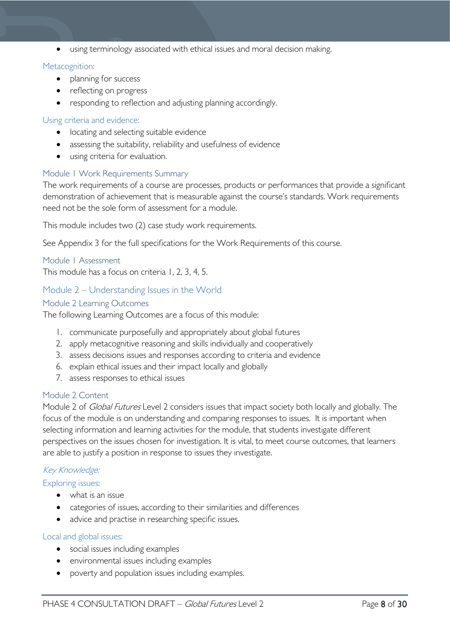• using terminology associated with ethical issues and moral decision making.

#### Metacognition:

- planning for success
- reflecting on progress
- responding to reflection and adjusting planning accordingly.

#### Using criteria and evidence:

- locating and selecting suitable evidence
- assessing the suitability, reliability and usefulness of evidence
- using criteria for evaluation.

#### <span id="page-7-0"></span>Module 1 Work Requirements Summary

The work requirements of a course are processes, products or performances that provide a significant demonstration of achievement that is measurable against the course's standards. Work requirements need not be the sole form of assessment for a module.

This module includes two (2) case study work requirements.

See Appendix 3 for the full specifications for the Work Requirements of this course.

#### <span id="page-7-1"></span>Module 1 Assessment

This module has a focus on criteria 1, 2, 3, 4, 5.

#### <span id="page-7-2"></span>Module 2 – Understanding Issues in the World

#### <span id="page-7-3"></span>Module 2 Learning Outcomes

The following Learning Outcomes are a focus of this module:

- 1. communicate purposefully and appropriately about global futures
- 2. apply metacognitive reasoning and skills individually and cooperatively
- 3. assess decisions issues and responses according to criteria and evidence
- 6. explain ethical issues and their impact locally and globally
- 7. assess responses to ethical issues

#### <span id="page-7-4"></span>Module 2 Content

Module 2 of *Global Futures* Level 2 considers issues that impact society both locally and globally. The focus of the module is on understanding and comparing responses to issues. It is important when selecting information and learning activities for the module, that students investigate different perspectives on the issues chosen for investigation. It is vital, to meet course outcomes, that learners are able to justify a position in response to issues they investigate.

#### Key Knowledge:

#### Exploring issues:

- what is an issue
- categories of issues, according to their similarities and differences
- advice and practise in researching specific issues.

#### Local and global issues:

- social issues including examples
- environmental issues including examples
- poverty and population issues including examples.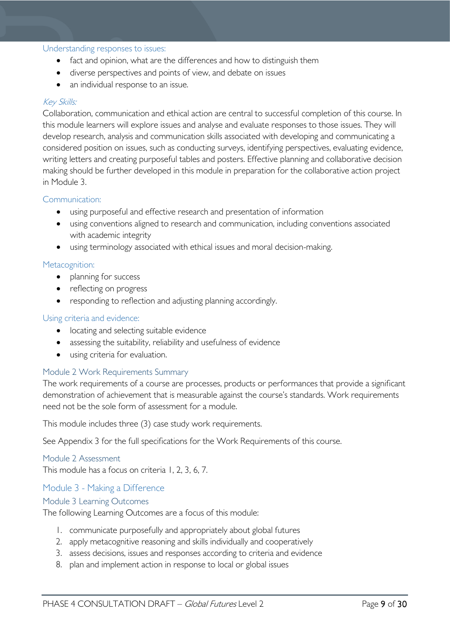#### Understanding responses to issues:

- fact and opinion, what are the differences and how to distinguish them
- diverse perspectives and points of view, and debate on issues
- an individual response to an issue.

#### Key Skills:

Collaboration, communication and ethical action are central to successful completion of this course. In this module learners will explore issues and analyse and evaluate responses to those issues. They will develop research, analysis and communication skills associated with developing and communicating a considered position on issues, such as conducting surveys, identifying perspectives, evaluating evidence, writing letters and creating purposeful tables and posters. Effective planning and collaborative decision making should be further developed in this module in preparation for the collaborative action project in Module 3.

#### Communication:

- using purposeful and effective research and presentation of information
- using conventions aligned to research and communication, including conventions associated with academic integrity
- using terminology associated with ethical issues and moral decision-making.

#### Metacognition:

- planning for success
- reflecting on progress
- responding to reflection and adjusting planning accordingly.

#### Using criteria and evidence:

- locating and selecting suitable evidence
- assessing the suitability, reliability and usefulness of evidence
- using criteria for evaluation.

#### <span id="page-8-0"></span>Module 2 Work Requirements Summary

The work requirements of a course are processes, products or performances that provide a significant demonstration of achievement that is measurable against the course's standards. Work requirements need not be the sole form of assessment for a module.

This module includes three (3) case study work requirements.

See Appendix 3 for the full specifications for the Work Requirements of this course.

#### <span id="page-8-1"></span>Module 2 Assessment

This module has a focus on criteria 1, 2, 3, 6, 7.

#### <span id="page-8-2"></span>Module 3 - Making a Difference

#### <span id="page-8-3"></span>Module 3 Learning Outcomes

The following Learning Outcomes are a focus of this module:

- 1. communicate purposefully and appropriately about global futures
- 2. apply metacognitive reasoning and skills individually and cooperatively
- 3. assess decisions, issues and responses according to criteria and evidence
- 8. plan and implement action in response to local or global issues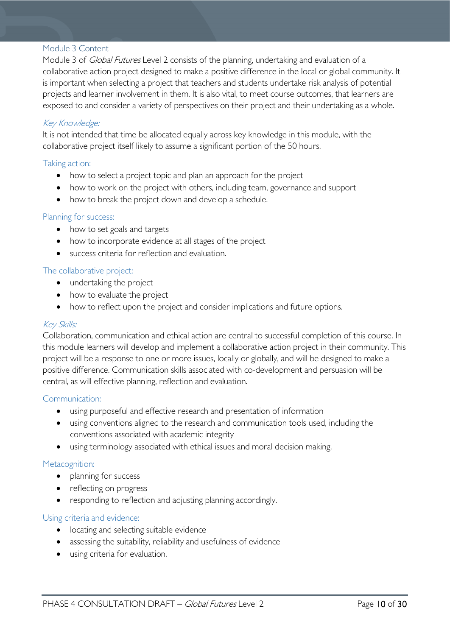#### <span id="page-9-0"></span>Module 3 Content

Module 3 of *Global Futures* Level 2 consists of the planning, undertaking and evaluation of a collaborative action project designed to make a positive difference in the local or global community. It is important when selecting a project that teachers and students undertake risk analysis of potential projects and learner involvement in them. It is also vital, to meet course outcomes, that learners are exposed to and consider a variety of perspectives on their project and their undertaking as a whole.

#### Key Knowledge:

It is not intended that time be allocated equally across key knowledge in this module, with the collaborative project itself likely to assume a significant portion of the 50 hours.

#### Taking action:

- how to select a project topic and plan an approach for the project
- how to work on the project with others, including team, governance and support
- how to break the project down and develop a schedule.

#### Planning for success:

- how to set goals and targets
- how to incorporate evidence at all stages of the project
- success criteria for reflection and evaluation.

#### The collaborative project:

- undertaking the project
- how to evaluate the project
- how to reflect upon the project and consider implications and future options.

#### Key Skills:

Collaboration, communication and ethical action are central to successful completion of this course. In this module learners will develop and implement a collaborative action project in their community. This project will be a response to one or more issues, locally or globally, and will be designed to make a positive difference. Communication skills associated with co-development and persuasion will be central, as will effective planning, reflection and evaluation.

#### Communication:

- using purposeful and effective research and presentation of information
- using conventions aligned to the research and communication tools used, including the conventions associated with academic integrity
- using terminology associated with ethical issues and moral decision making.

#### Metacognition:

- planning for success
- reflecting on progress
- responding to reflection and adjusting planning accordingly.

#### Using criteria and evidence:

- locating and selecting suitable evidence
- assessing the suitability, reliability and usefulness of evidence
- using criteria for evaluation.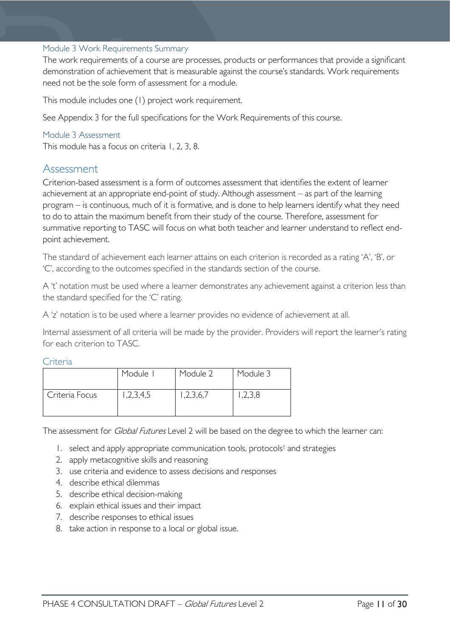#### <span id="page-10-0"></span>Module 3 Work Requirements Summary

The work requirements of a course are processes, products or performances that provide a significant demonstration of achievement that is measurable against the course's standards. Work requirements need not be the sole form of assessment for a module.

This module includes one (1) project work requirement.

See Appendix 3 for the full specifications for the Work Requirements of this course.

#### <span id="page-10-1"></span>Module 3 Assessment

This module has a focus on criteria 1, 2, 3, 8.

### <span id="page-10-2"></span>Assessment

Criterion-based assessment is a form of outcomes assessment that identifies the extent of learner achievement at an appropriate end-point of study. Although assessment – as part of the learning program – is continuous, much of it is formative, and is done to help learners identify what they need to do to attain the maximum benefit from their study of the course. Therefore, assessment for summative reporting to TASC will focus on what both teacher and learner understand to reflect endpoint achievement.

The standard of achievement each learner attains on each criterion is recorded as a rating 'A', 'B', or 'C', according to the outcomes specified in the standards section of the course.

A 't' notation must be used where a learner demonstrates any achievement against a criterion less than the standard specified for the 'C' rating.

A 'z' notation is to be used where a learner provides no evidence of achievement at all.

Internal assessment of all criteria will be made by the provider. Providers will report the learner's rating for each criterion to TASC.

#### <span id="page-10-3"></span>Criteria

|                | Module I  | Module 2 | Module 3 |
|----------------|-----------|----------|----------|
| Criteria Focus | 1,2,3,4,5 | ,2,3,6,7 | ,2,3,8   |

The assessment for *Global Futures* Level 2 will be based on the degree to which the learner can:

- 1. select and apply appropriate communication tools, protocols<sup>†</sup> and strategies
- 2. apply metacognitive skills and reasoning
- 3. use criteria and evidence to assess decisions and responses
- 4. describe ethical dilemmas
- 5. describe ethical decision-making
- 6. explain ethical issues and their impact
- 7. describe responses to ethical issues
- 8. take action in response to a local or global issue.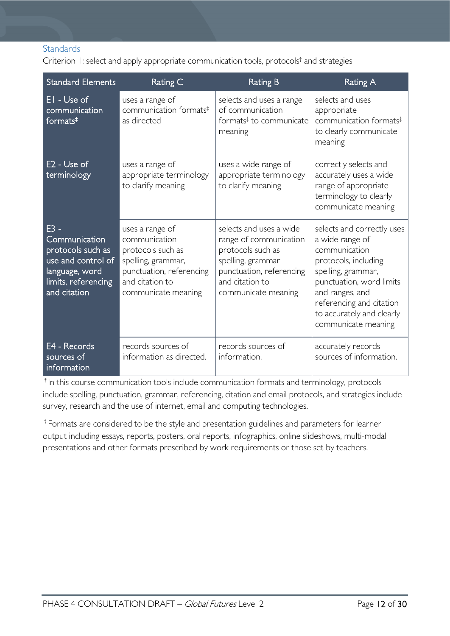#### <span id="page-11-0"></span>**Standards**

Criterion 1: select and apply appropriate communication tools, protocols† and strategies

| <b>Standard Elements</b>                                                                                                  | Rating C                                                                                                                                          | <b>Rating B</b>                                                                                                                                                   | <b>Rating A</b>                                                                                                                                                                                                                             |
|---------------------------------------------------------------------------------------------------------------------------|---------------------------------------------------------------------------------------------------------------------------------------------------|-------------------------------------------------------------------------------------------------------------------------------------------------------------------|---------------------------------------------------------------------------------------------------------------------------------------------------------------------------------------------------------------------------------------------|
| EI - Use of<br>communication<br>formats $‡$                                                                               | uses a range of<br>communication formats <sup>‡</sup><br>as directed                                                                              | selects and uses a range<br>of communication<br>formats <sup>‡</sup> to communicate<br>meaning                                                                    | selects and uses<br>appropriate<br>communication formats <sup>#</sup><br>to clearly communicate<br>meaning                                                                                                                                  |
| $E2 - Use of$<br>terminology                                                                                              | uses a range of<br>appropriate terminology<br>to clarify meaning                                                                                  | uses a wide range of<br>appropriate terminology<br>to clarify meaning                                                                                             | correctly selects and<br>accurately uses a wide<br>range of appropriate<br>terminology to clearly<br>communicate meaning                                                                                                                    |
| E3 -<br>Communication<br>protocols such as<br>use and control of<br>language, word<br>limits, referencing<br>and citation | uses a range of<br>communication<br>protocols such as<br>spelling, grammar,<br>punctuation, referencing<br>and citation to<br>communicate meaning | selects and uses a wide<br>range of communication<br>protocols such as<br>spelling, grammar<br>punctuation, referencing<br>and citation to<br>communicate meaning | selects and correctly uses<br>a wide range of<br>communication<br>protocols, including<br>spelling, grammar,<br>punctuation, word limits<br>and ranges, and<br>referencing and citation<br>to accurately and clearly<br>communicate meaning |
| E4 - Records<br>sources of<br>information                                                                                 | records sources of<br>information as directed.                                                                                                    | records sources of<br>information.                                                                                                                                | accurately records<br>sources of information.                                                                                                                                                                                               |

†In this course communication tools include communication formats and terminology, protocols include spelling, punctuation, grammar, referencing, citation and email protocols, and strategies include survey, research and the use of internet, email and computing technologies.

‡Formats are considered to be the style and presentation guidelines and parameters for learner output including essays, reports, posters, oral reports, infographics, online slideshows, multi-modal presentations and other formats prescribed by work requirements or those set by teachers.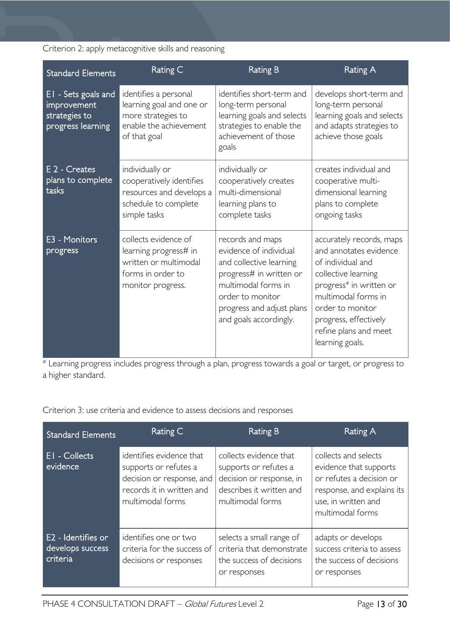Criterion 2: apply metacognitive skills and reasoning

| <b>Standard Elements</b>                                                 | Rating C                                                                                                          | <b>Rating B</b>                                                                                                                                                                                    | Rating A                                                                                                                                                                                                                                              |
|--------------------------------------------------------------------------|-------------------------------------------------------------------------------------------------------------------|----------------------------------------------------------------------------------------------------------------------------------------------------------------------------------------------------|-------------------------------------------------------------------------------------------------------------------------------------------------------------------------------------------------------------------------------------------------------|
| EI - Sets goals and<br>improvement<br>strategies to<br>progress learning | identifies a personal<br>learning goal and one or<br>more strategies to<br>enable the achievement<br>of that goal | identifies short-term and<br>long-term personal<br>learning goals and selects<br>strategies to enable the<br>achievement of those<br>goals                                                         | develops short-term and<br>long-term personal<br>learning goals and selects<br>and adapts strategies to<br>achieve those goals                                                                                                                        |
| E 2 - Creates<br>plans to complete<br>tasks                              | individually or<br>cooperatively identifies<br>resources and develops a<br>schedule to complete<br>simple tasks   | individually or<br>cooperatively creates<br>multi-dimensional<br>learning plans to<br>complete tasks                                                                                               | creates individual and<br>cooperative multi-<br>dimensional learning<br>plans to complete<br>ongoing tasks                                                                                                                                            |
| E3 - Monitors<br>progress                                                | collects evidence of<br>learning progress# in<br>written or multimodal<br>forms in order to<br>monitor progress.  | records and maps<br>evidence of individual<br>and collective learning<br>progress# in written or<br>multimodal forms in<br>order to monitor<br>progress and adjust plans<br>and goals accordingly. | accurately records, maps<br>and annotates evidence<br>of individual and<br>collective learning<br>progress <sup>#</sup> in written or<br>multimodal forms in<br>order to monitor<br>progress, effectively<br>refine plans and meet<br>learning goals. |

# Learning progress includes progress through a plan, progress towards a goal or target, or progress to a higher standard.

Criterion 3: use criteria and evidence to assess decisions and responses

| <b>Standard Elements</b>                           | Rating C                                                                                                                        | Rating B                                                                                                                    | Rating A                                                                                                                                            |
|----------------------------------------------------|---------------------------------------------------------------------------------------------------------------------------------|-----------------------------------------------------------------------------------------------------------------------------|-----------------------------------------------------------------------------------------------------------------------------------------------------|
| <b>EI</b> - Collects<br>evidence                   | identifies evidence that<br>supports or refutes a<br>decision or response, and<br>records it in written and<br>multimodal forms | collects evidence that<br>supports or refutes a<br>decision or response, in<br>describes it written and<br>multimodal forms | collects and selects<br>evidence that supports<br>or refutes a decision or<br>response, and explains its<br>use, in written and<br>multimodal forms |
| E2 - Identifies or<br>develops success<br>criteria | identifies one or two<br>criteria for the success of<br>decisions or responses                                                  | selects a small range of<br>criteria that demonstrate<br>the success of decisions<br>or responses                           | adapts or develops<br>success criteria to assess<br>the success of decisions<br>or responses                                                        |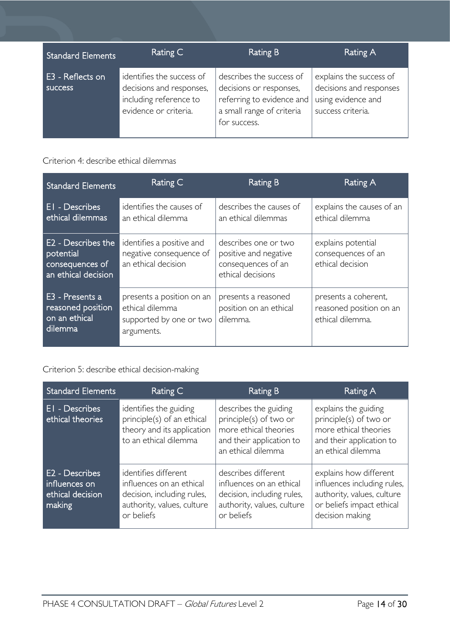| <b>Standard Elements</b>    | Rating C                                                                                                 | Rating B                                                                                                                      | Rating A                                                                                      |
|-----------------------------|----------------------------------------------------------------------------------------------------------|-------------------------------------------------------------------------------------------------------------------------------|-----------------------------------------------------------------------------------------------|
| E3 - Reflects on<br>success | identifies the success of<br>decisions and responses,<br>including reference to<br>evidence or criteria. | describes the success of<br>decisions or responses,<br>referring to evidence and<br>a small range of criteria<br>for success. | explains the success of<br>decisions and responses<br>using evidence and<br>success criteria. |

### Criterion 4: describe ethical dilemmas

| <b>Standard Elements</b>                                                  | Rating C                                                                              | Rating B                                                                                 | Rating A                                                            |
|---------------------------------------------------------------------------|---------------------------------------------------------------------------------------|------------------------------------------------------------------------------------------|---------------------------------------------------------------------|
| <b>El</b> - Describes<br>ethical dilemmas                                 | identifies the causes of<br>an ethical dilemma                                        | describes the causes of<br>an ethical dilemmas                                           | explains the causes of an<br>ethical dilemma                        |
| E2 - Describes the<br>potential<br>consequences of<br>an ethical decision | identifies a positive and<br>negative consequence of<br>an ethical decision           | describes one or two<br>positive and negative<br>consequences of an<br>ethical decisions | explains potential<br>consequences of an<br>ethical decision        |
| E3 - Presents a<br>reasoned position<br>on an ethical<br>dilemma          | presents a position on an<br>ethical dilemma<br>supported by one or two<br>arguments. | presents a reasoned<br>position on an ethical<br>dilemma.                                | presents a coherent,<br>reasoned position on an<br>ethical dilemma. |

# Criterion 5: describe ethical decision-making

| <b>Standard Elements</b>                                      | Rating C                                                                                                                   | Rating B                                                                                                                   | Rating A                                                                                                                            |
|---------------------------------------------------------------|----------------------------------------------------------------------------------------------------------------------------|----------------------------------------------------------------------------------------------------------------------------|-------------------------------------------------------------------------------------------------------------------------------------|
| EI - Describes<br>ethical theories                            | identifies the guiding<br>principle(s) of an ethical<br>theory and its application<br>to an ethical dilemma                | describes the guiding<br>principle(s) of two or<br>more ethical theories<br>and their application to<br>an ethical dilemma | explains the guiding<br>principle(s) of two or<br>more ethical theories<br>and their application to<br>an ethical dilemma           |
| E2 - Describes<br>influences on<br>ethical decision<br>making | identifies different<br>influences on an ethical<br>decision, including rules,<br>authority, values, culture<br>or beliefs | describes different<br>influences on an ethical<br>decision, including rules,<br>authority, values, culture<br>or beliefs  | explains how different<br>influences including rules,<br>authority, values, culture<br>or beliefs impact ethical<br>decision making |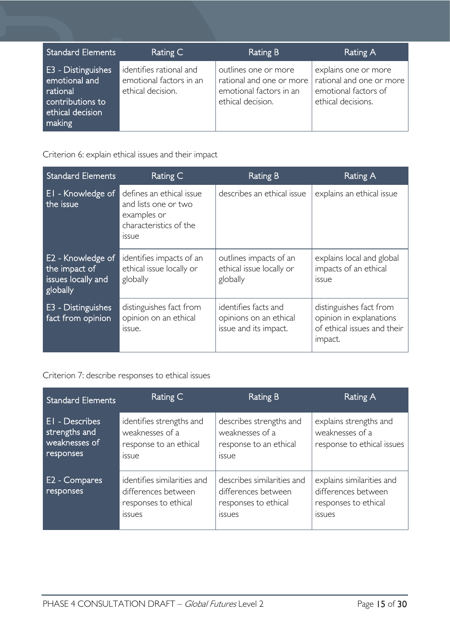| Standard Elements                                                                                        | Rating C                                                                | <b>Rating B</b>                                                                                  | Rating A                                                                                       |
|----------------------------------------------------------------------------------------------------------|-------------------------------------------------------------------------|--------------------------------------------------------------------------------------------------|------------------------------------------------------------------------------------------------|
| <b>E3</b> - Distinguishes<br>emotional and<br>rational<br>contributions to<br>ethical decision<br>making | identifies rational and<br>emotional factors in an<br>ethical decision. | outlines one or more<br>rational and one or more<br>emotional factors in an<br>ethical decision. | explains one or more<br>rational and one or more<br>emotional factors of<br>ethical decisions. |

Criterion 6: explain ethical issues and their impact

| <b>Standard Elements</b>                                             | Rating C                                                                                                  | Rating B                                                                | Rating A                                                                                     |
|----------------------------------------------------------------------|-----------------------------------------------------------------------------------------------------------|-------------------------------------------------------------------------|----------------------------------------------------------------------------------------------|
| EI - Knowledge of<br>the issue                                       | defines an ethical issue<br>and lists one or two<br>examples or<br>characteristics of the<br><b>ISSUE</b> | describes an ethical issue                                              | explains an ethical issue                                                                    |
| E2 - Knowledge of<br>the impact of<br>issues locally and<br>globally | identifies impacts of an<br>ethical issue locally or<br>globally                                          | outlines impacts of an<br>ethical issue locally or<br>globally          | explains local and global<br>impacts of an ethical<br><b>ISSUE</b>                           |
| E3 - Distinguishes<br>fact from opinion                              | distinguishes fact from<br>opinion on an ethical<br>issue.                                                | identifies facts and<br>opinions on an ethical<br>issue and its impact. | distinguishes fact from<br>opinion in explanations<br>of ethical issues and their<br>impact. |

Criterion 7: describe responses to ethical issues

| <b>Standard Elements</b>                                             | Rating C                                                                              | <b>Rating B</b>                                                                            | Rating A                                                                                  |
|----------------------------------------------------------------------|---------------------------------------------------------------------------------------|--------------------------------------------------------------------------------------------|-------------------------------------------------------------------------------------------|
| <b>EI</b> - Describes<br>strengths and<br>weaknesses of<br>responses | identifies strengths and<br>weaknesses of a<br>response to an ethical<br><i>issue</i> | describes strengths and<br>weaknesses of a<br>response to an ethical<br>issue              | explains strengths and<br>weaknesses of a<br>response to ethical issues                   |
| E2 - Compares<br>responses                                           | identifies similarities and<br>differences between<br>responses to ethical<br>issues  | describes similarities and<br>differences between<br>responses to ethical<br><i>issues</i> | explains similarities and<br>differences between<br>responses to ethical<br><b>ISSUES</b> |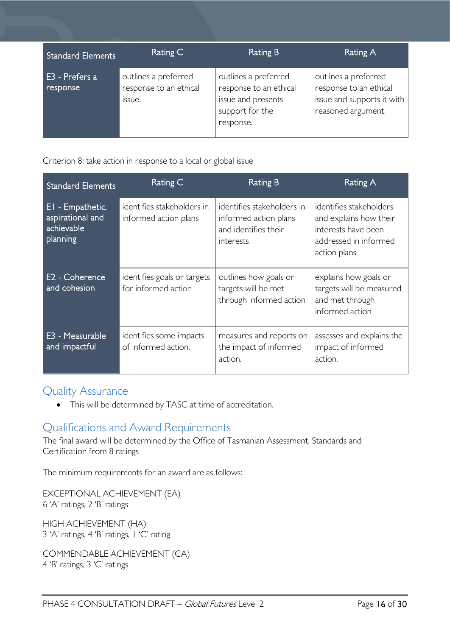| <b>Standard Elements</b>   | Rating C                                                 | <b>Rating B</b>                                                                                      | Rating A                                                                                           |
|----------------------------|----------------------------------------------------------|------------------------------------------------------------------------------------------------------|----------------------------------------------------------------------------------------------------|
| E3 - Prefers a<br>response | outlines a preferred<br>response to an ethical<br>issue. | outlines a preferred<br>response to an ethical<br>issue and presents<br>support for the<br>response. | outlines a preferred<br>response to an ethical<br>issue and supports it with<br>reasoned argument. |

Criterion 8: take action in response to a local or global issue

| <b>Standard Elements</b>                                       | Rating C                                            | Rating B                                                                                 | Rating A                                                                                                          |
|----------------------------------------------------------------|-----------------------------------------------------|------------------------------------------------------------------------------------------|-------------------------------------------------------------------------------------------------------------------|
| EI - Empathetic,<br>aspirational and<br>achievable<br>planning | identifies stakeholders in<br>informed action plans | identifies stakeholders in<br>informed action plans<br>and identifies their<br>interests | identifies stakeholders<br>and explains how their<br>interests have been<br>addressed in informed<br>action plans |
| E2 - Coherence<br>and cohesion                                 | identifies goals or targets<br>for informed action  | outlines how goals or<br>targets will be met<br>through informed action                  | explains how goals or<br>targets will be measured<br>and met through<br>informed action                           |
| E3 - Measurable<br>and impactful                               | identifies some impacts<br>of informed action.      | measures and reports on<br>the impact of informed<br>action.                             | assesses and explains the<br>impact of informed<br>action.                                                        |

# <span id="page-15-0"></span>Quality Assurance

• This will be determined by TASC at time of accreditation.

# <span id="page-15-1"></span>Qualifications and Award Requirements

The final award will be determined by the Office of Tasmanian Assessment, Standards and Certification from 8 ratings

The minimum requirements for an award are as follows:

EXCEPTIONAL ACHIEVEMENT (EA) 6 'A' ratings, 2 'B' ratings

HIGH ACHIEVEMENT (HA) 3 'A' ratings, 4 'B' ratings, 1 'C' rating

COMMENDABLE ACHIEVEMENT (CA) 4 'B' ratings, 3 'C' ratings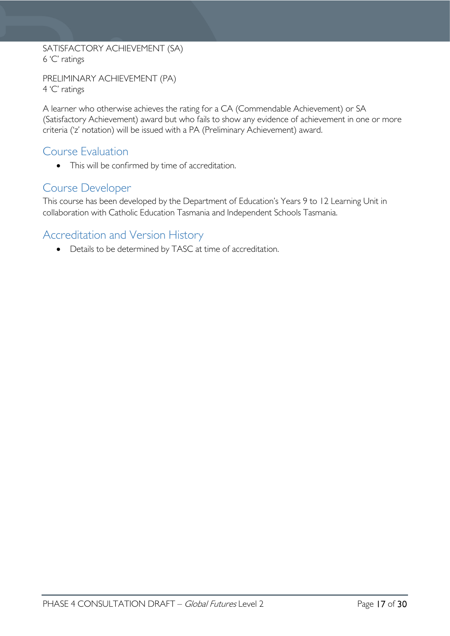#### SATISFACTORY ACHIEVEMENT (SA) 6 'C' ratings

PRELIMINARY ACHIEVEMENT (PA) 4 'C' ratings

A learner who otherwise achieves the rating for a CA (Commendable Achievement) or SA (Satisfactory Achievement) award but who fails to show any evidence of achievement in one or more criteria ('z' notation) will be issued with a PA (Preliminary Achievement) award.

### <span id="page-16-0"></span>Course Evaluation

• This will be confirmed by time of accreditation.

# <span id="page-16-1"></span>Course Developer

This course has been developed by the Department of Education's Years 9 to 12 Learning Unit in collaboration with Catholic Education Tasmania and Independent Schools Tasmania.

# <span id="page-16-2"></span>Accreditation and Version History

• Details to be determined by TASC at time of accreditation.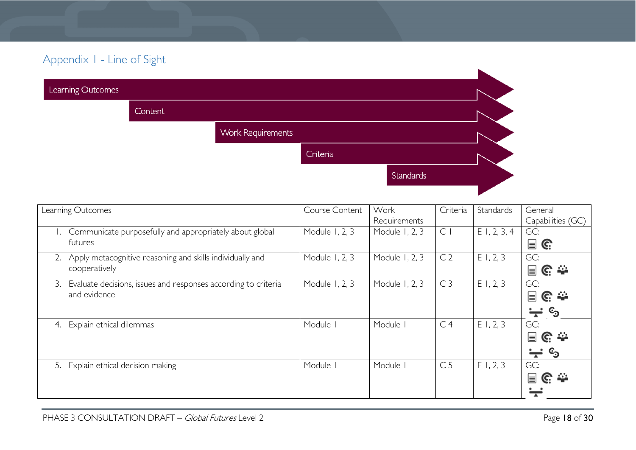# Appendix 1 - Line of Sight

| Learning Outcomes |         |                          |          |                  |  |
|-------------------|---------|--------------------------|----------|------------------|--|
|                   | Content |                          |          |                  |  |
|                   |         | <b>Work Requirements</b> |          |                  |  |
|                   |         |                          | Criteria |                  |  |
|                   |         |                          |          | <b>Standards</b> |  |
|                   |         |                          |          |                  |  |

<span id="page-17-0"></span>

| Learning Outcomes                                                           | Course Content | Work           | Criteria       | Standards      | General                             |
|-----------------------------------------------------------------------------|----------------|----------------|----------------|----------------|-------------------------------------|
|                                                                             |                | Requirements   |                |                | Capabilities (GC)                   |
| Communicate purposefully and appropriately about global                     | Module 1, 2, 3 | Module 1, 2, 3 | $\mathsf{C}$   | $E$ 1, 2, 3, 4 | GC:                                 |
| futures                                                                     |                |                |                |                | $\blacksquare$ G                    |
| Apply metacognitive reasoning and skills individually and<br>2 <sub>1</sub> | Module 1, 2, 3 | Module 1, 2, 3 | C <sub>2</sub> | E1, 2, 3       | GC:                                 |
| cooperatively                                                               |                |                |                |                | 目に幸                                 |
| Evaluate decisions, issues and responses according to criteria<br>3.        | Module 1, 2, 3 | Module 1, 2, 3 | C <sub>3</sub> | E1, 2, 3       | GC:                                 |
| and evidence                                                                |                |                |                |                | 冒C☆                                 |
|                                                                             |                |                |                |                | $\mathbb{c}_\mathfrak{I}$<br>$\div$ |
| Explain ethical dilemmas<br>4.                                              | Module         | Module I       | C <sub>4</sub> | E1, 2, 3       | GC:                                 |
|                                                                             |                |                |                |                | 冒<br>၉ ≏                            |
|                                                                             |                |                |                |                | ු<br>₩                              |
| 5. Explain ethical decision making                                          | Module         | Module         | C <sub>5</sub> | E1, 2, 3       | GC:                                 |
|                                                                             |                |                |                |                | 圓G⇔                                 |
|                                                                             |                |                |                |                |                                     |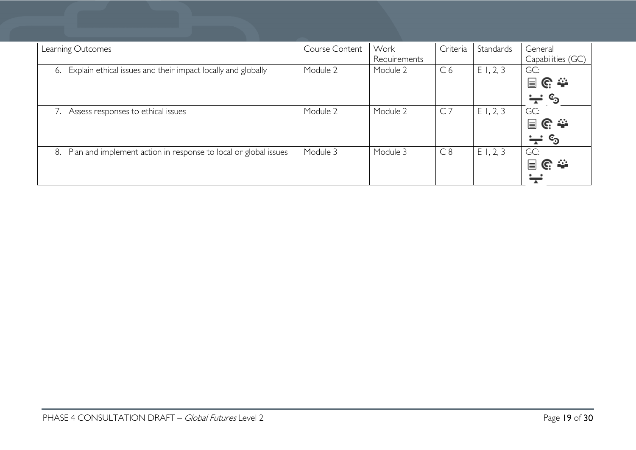| Course Content | Work     | Criteria       | Standards | General<br>Capabilities (GC)                  |
|----------------|----------|----------------|-----------|-----------------------------------------------|
| Module 2       | Module 2 | C <sub>6</sub> | E1, 2, 3  | GC:<br>目に赤                                    |
| Module 2       | Module 2 | C <sub>7</sub> | E1, 2, 3  | $\div$ ©<br>GC:                               |
|                |          |                |           | 冒<br>၉ ≏<br>$\mathbf{c}_\mathbf{0}$<br>$\div$ |
| Module 3       | Module 3 | C8             |           | GC:<br>冒<br><u>଼େ</u> କ                       |
|                |          | Requirements   |           | E1, 2, 3                                      |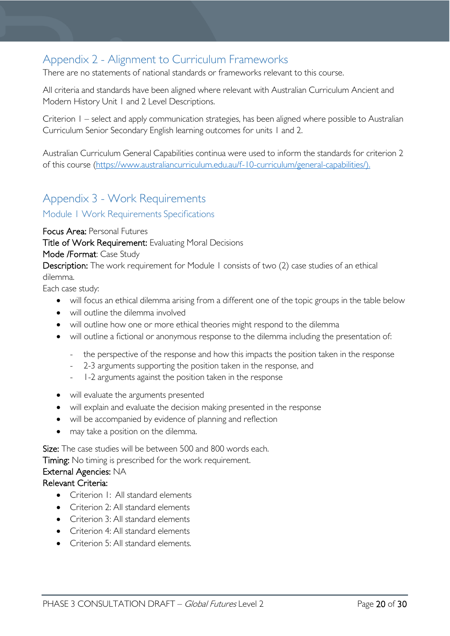# <span id="page-19-0"></span>Appendix 2 - Alignment to Curriculum Frameworks

There are no statements of national standards or frameworks relevant to this course.

All criteria and standards have been aligned where relevant with Australian Curriculum Ancient and Modern History Unit 1 and 2 Level Descriptions.

Criterion 1 – select and apply communication strategies, has been aligned where possible to Australian Curriculum Senior Secondary English learning outcomes for units 1 and 2.

Australian Curriculum General Capabilities continua were used to inform the standards for criterion 2 of this course [\(https://www.australiancurriculum.edu.au/f-10-curriculum/general-capabilities/\)](https://www.australiancurriculum.edu.au/f-10-curriculum/general-capabilities/).

# <span id="page-19-1"></span>Appendix 3 - Work Requirements

#### <span id="page-19-2"></span>Module <sup>1</sup> Work Requirements Specifications

Focus Area: Personal Futures

Title of Work Requirement: Evaluating Moral Decisions

#### Mode /Format: Case Study

Description: The work requirement for Module 1 consists of two (2) case studies of an ethical dilemma.

Each case study:

- will focus an ethical dilemma arising from a different one of the topic groups in the table below
- will outline the dilemma involved
- will outline how one or more ethical theories might respond to the dilemma
- will outline a fictional or anonymous response to the dilemma including the presentation of:
	- the perspective of the response and how this impacts the position taken in the response
	- 2-3 arguments supporting the position taken in the response, and
	- 1-2 arguments against the position taken in the response
- will evaluate the arguments presented
- will explain and evaluate the decision making presented in the response
- will be accompanied by evidence of planning and reflection
- may take a position on the dilemma.

Size: The case studies will be between 500 and 800 words each.

Timing: No timing is prescribed for the work requirement.

#### External Agencies: NA

#### Relevant Criteria:

- Criterion 1: All standard elements
- Criterion 2: All standard elements
- Criterion 3: All standard elements
- Criterion 4: All standard elements
- Criterion 5: All standard elements.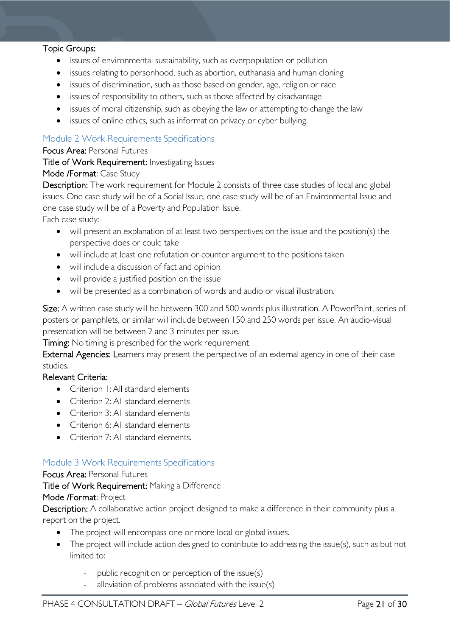#### Topic Groups:

- issues of environmental sustainability, such as overpopulation or pollution
- issues relating to personhood, such as abortion, euthanasia and human cloning
- issues of discrimination, such as those based on gender, age, religion or race
- issues of responsibility to others, such as those affected by disadvantage
- issues of moral citizenship, such as obeying the law or attempting to change the law
- issues of online ethics, such as information privacy or cyber bullying.

#### <span id="page-20-0"></span>Module 2 Work Requirements Specifications

#### Focus Area: Personal Futures

#### Title of Work Requirement: Investigating Issues

#### Mode /Format: Case Study

Description: The work requirement for Module 2 consists of three case studies of local and global issues. One case study will be of a Social Issue, one case study will be of an Environmental Issue and one case study will be of a Poverty and Population Issue.

Each case study:

- will present an explanation of at least two perspectives on the issue and the position(s) the perspective does or could take
- will include at least one refutation or counter argument to the positions taken
- will include a discussion of fact and opinion
- will provide a justified position on the issue
- will be presented as a combination of words and audio or visual illustration.

Size: A written case study will be between 300 and 500 words plus illustration. A PowerPoint, series of posters or pamphlets, or similar will include between 150 and 250 words per issue. An audio-visual presentation will be between 2 and 3 minutes per issue.

Timing: No timing is prescribed for the work requirement.

External Agencies: Learners may present the perspective of an external agency in one of their case studies.

#### Relevant Criteria:

- Criterion 1: All standard elements
- Criterion 2: All standard elements
- Criterion 3: All standard elements
- Criterion 6: All standard elements
- Criterion 7: All standard elements.

#### <span id="page-20-1"></span>Module 3 Work Requirements Specifications

#### Focus Area: Personal Futures

Title of Work Requirement: Making a Difference

### Mode /Format: Project

Description: A collaborative action project designed to make a difference in their community plus a report on the project.

- The project will encompass one or more local or global issues.
- The project will include action designed to contribute to addressing the issue(s), such as but not limited to:
	- public recognition or perception of the issue(s)
	- alleviation of problems associated with the issue(s)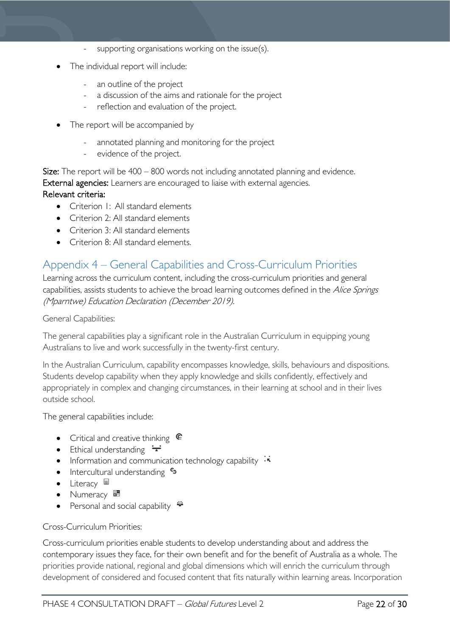- supporting organisations working on the issue(s).
- The individual report will include:
	- an outline of the project
	- a discussion of the aims and rationale for the project
	- reflection and evaluation of the project.
- The report will be accompanied by
	- annotated planning and monitoring for the project
	- evidence of the project.

Size: The report will be 400 – 800 words not including annotated planning and evidence. External agencies: Learners are encouraged to liaise with external agencies. Relevant criteria:

- Criterion I: All standard elements
- Criterion 2: All standard elements
- Criterion 3: All standard elements
- Criterion 8: All standard elements.

# <span id="page-21-0"></span>Appendix 4 – General Capabilities and Cross-Curriculum Priorities

Learning across the curriculum content, including the cross-curriculum priorities and general capabilities, assists students to achieve the broad learning outcomes defined in the Alice Springs (Mparntwe) Education Declaration (December 2019).

General Capabilities:

The general capabilities play a significant role in the Australian Curriculum in equipping young Australians to live and work successfully in the twenty-first century.

In the Australian Curriculum, capability encompasses knowledge, skills, behaviours and dispositions. Students develop capability when they apply knowledge and skills confidently, effectively and appropriately in complex and changing circumstances, in their learning at school and in their lives outside school.

The general capabilities include:

- Critical and creative thinking  $\mathbb{C}$
- Ethical understanding  $\div$
- Information and communication technology capability  $\cdot \cdot$
- Intercultural understanding •
- Literacy  $\blacksquare$
- Numeracy
- Personal and social capability  $\ddot{\ddot{\bullet}}$

#### Cross-Curriculum Priorities:

Cross-curriculum priorities enable students to develop understanding about and address the contemporary issues they face, for their own benefit and for the benefit of Australia as a whole. The priorities provide national, regional and global dimensions which will enrich the curriculum through development of considered and focused content that fits naturally within learning areas. Incorporation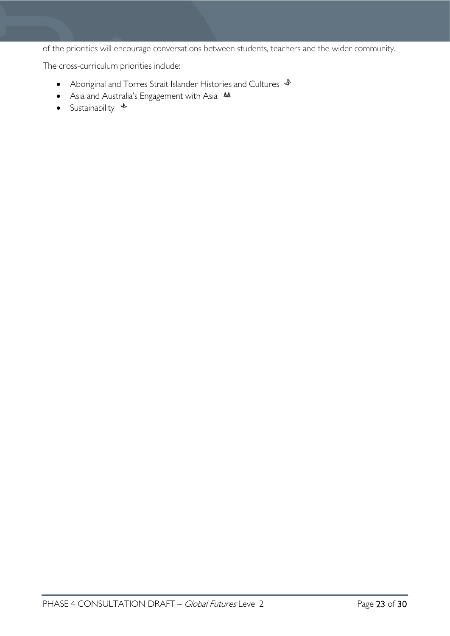of the priorities will encourage conversations between students, teachers and the wider community.

The cross-curriculum priorities include:

- Aboriginal and Torres Strait Islander Histories and Cultures  $\mathcal *$
- Asia and Australia's Engagement with Asia M
- Sustainability  $+$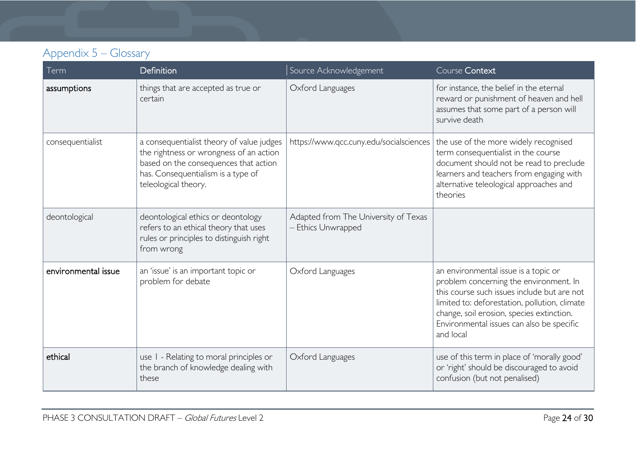# Appendix 5 – Glossary

<span id="page-23-0"></span>

| Term                | Definition                                                                                                                                                                                  | Source Acknowledgement                                   | Course Context                                                                                                                                                                                                                                                                        |
|---------------------|---------------------------------------------------------------------------------------------------------------------------------------------------------------------------------------------|----------------------------------------------------------|---------------------------------------------------------------------------------------------------------------------------------------------------------------------------------------------------------------------------------------------------------------------------------------|
| assumptions         | things that are accepted as true or<br>certain                                                                                                                                              | Oxford Languages                                         | for instance, the belief in the eternal<br>reward or punishment of heaven and hell<br>assumes that some part of a person will<br>survive death                                                                                                                                        |
| consequentialist    | a consequentialist theory of value judges<br>the rightness or wrongness of an action<br>based on the consequences that action<br>has. Consequentialism is a type of<br>teleological theory. | https://www.qcc.cuny.edu/socialsciences                  | the use of the more widely recognised<br>term consequentialist in the course<br>document should not be read to preclude<br>learners and teachers from engaging with<br>alternative teleological approaches and<br>theories                                                            |
| deontological       | deontological ethics or deontology<br>refers to an ethical theory that uses<br>rules or principles to distinguish right<br>from wrong                                                       | Adapted from The University of Texas<br>Ethics Unwrapped |                                                                                                                                                                                                                                                                                       |
| environmental issue | an 'issue' is an important topic or<br>problem for debate                                                                                                                                   | Oxford Languages                                         | an environmental issue is a topic or<br>problem concerning the environment. In<br>this course such issues include but are not<br>limited to: deforestation, pollution, climate<br>change, soil erosion, species extinction.<br>Environmental issues can also be specific<br>and local |
| ethical             | use I - Relating to moral principles or<br>the branch of knowledge dealing with<br>these                                                                                                    | Oxford Languages                                         | use of this term in place of 'morally good'<br>or 'right' should be discouraged to avoid<br>confusion (but not penalised)                                                                                                                                                             |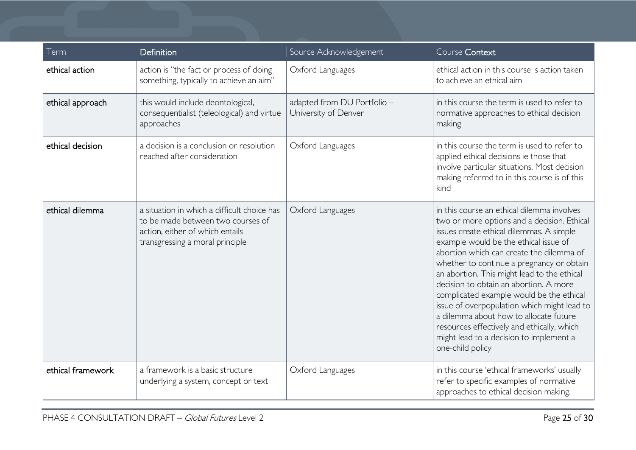| Term              | <b>Definition</b>                                                                                                                                      | Source Acknowledgement                              | Course Context                                                                                                                                                                                                                                                                                                                                                                                                                                                                                                                                                                                                     |
|-------------------|--------------------------------------------------------------------------------------------------------------------------------------------------------|-----------------------------------------------------|--------------------------------------------------------------------------------------------------------------------------------------------------------------------------------------------------------------------------------------------------------------------------------------------------------------------------------------------------------------------------------------------------------------------------------------------------------------------------------------------------------------------------------------------------------------------------------------------------------------------|
| ethical action    | action is "the fact or process of doing<br>something, typically to achieve an aim"                                                                     | Oxford Languages                                    | ethical action in this course is action taken<br>to achieve an ethical aim                                                                                                                                                                                                                                                                                                                                                                                                                                                                                                                                         |
| ethical approach  | this would include deontological,<br>consequentialist (teleological) and virtue<br>approaches                                                          | adapted from DU Portfolio -<br>University of Denver | in this course the term is used to refer to<br>normative approaches to ethical decision<br>making                                                                                                                                                                                                                                                                                                                                                                                                                                                                                                                  |
| ethical decision  | a decision is a conclusion or resolution<br>reached after consideration                                                                                | Oxford Languages                                    | in this course the term is used to refer to<br>applied ethical decisions ie those that<br>involve particular situations. Most decision<br>making referred to in this course is of this<br>kind                                                                                                                                                                                                                                                                                                                                                                                                                     |
| ethical dilemma   | a situation in which a difficult choice has<br>to be made between two courses of<br>action, either of which entails<br>transgressing a moral principle | Oxford Languages                                    | in this course an ethical dilemma involves<br>two or more options and a decision. Ethical<br>issues create ethical dilemmas. A simple<br>example would be the ethical issue of<br>abortion which can create the dilemma of<br>whether to continue a pregnancy or obtain<br>an abortion. This might lead to the ethical<br>decision to obtain an abortion. A more<br>complicated example would be the ethical<br>issue of overpopulation which might lead to<br>a dilemma about how to allocate future<br>resources effectively and ethically, which<br>might lead to a decision to implement a<br>one-child policy |
| ethical framework | a framework is a basic structure<br>underlying a system, concept or text                                                                               | Oxford Languages                                    | in this course 'ethical frameworks' usually<br>refer to specific examples of normative<br>approaches to ethical decision making.                                                                                                                                                                                                                                                                                                                                                                                                                                                                                   |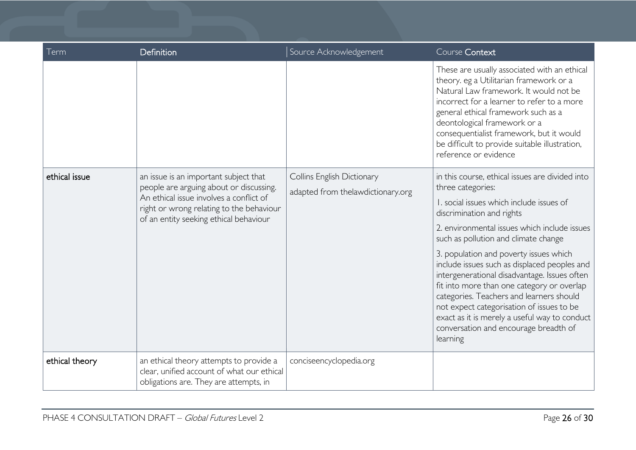| Term           | Definition                                                                                                                                                                                                        | Source Acknowledgement                                          | Course Context                                                                                                                                                                                                                                                                                                                                                                      |
|----------------|-------------------------------------------------------------------------------------------------------------------------------------------------------------------------------------------------------------------|-----------------------------------------------------------------|-------------------------------------------------------------------------------------------------------------------------------------------------------------------------------------------------------------------------------------------------------------------------------------------------------------------------------------------------------------------------------------|
|                |                                                                                                                                                                                                                   |                                                                 | These are usually associated with an ethical<br>theory. eg a Utilitarian framework or a<br>Natural Law framework. It would not be<br>incorrect for a learner to refer to a more<br>general ethical framework such as a<br>deontological framework or a<br>consequentialist framework, but it would<br>be difficult to provide suitable illustration,<br>reference or evidence       |
| ethical issue  | an issue is an important subject that<br>people are arguing about or discussing.<br>An ethical issue involves a conflict of<br>right or wrong relating to the behaviour<br>of an entity seeking ethical behaviour | Collins English Dictionary<br>adapted from thelawdictionary.org | in this course, ethical issues are divided into<br>three categories:                                                                                                                                                                                                                                                                                                                |
|                |                                                                                                                                                                                                                   |                                                                 | 1. social issues which include issues of<br>discrimination and rights                                                                                                                                                                                                                                                                                                               |
|                |                                                                                                                                                                                                                   |                                                                 | 2. environmental issues which include issues<br>such as pollution and climate change                                                                                                                                                                                                                                                                                                |
|                |                                                                                                                                                                                                                   |                                                                 | 3. population and poverty issues which<br>include issues such as displaced peoples and<br>intergenerational disadvantage. Issues often<br>fit into more than one category or overlap<br>categories. Teachers and learners should<br>not expect categorisation of issues to be<br>exact as it is merely a useful way to conduct<br>conversation and encourage breadth of<br>learning |
| ethical theory | an ethical theory attempts to provide a<br>clear, unified account of what our ethical<br>obligations are. They are attempts, in                                                                                   | conciseencyclopedia.org                                         |                                                                                                                                                                                                                                                                                                                                                                                     |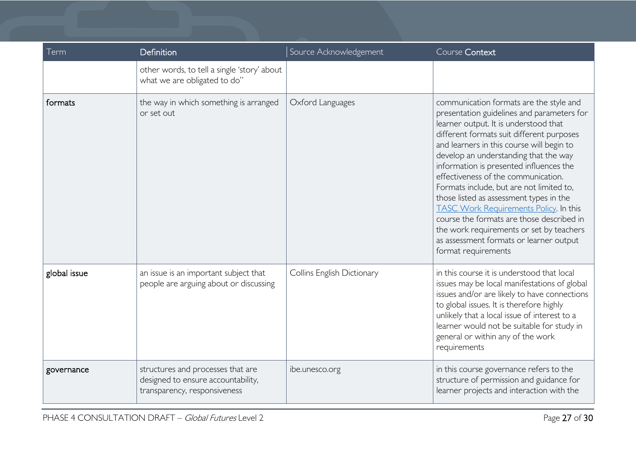| Term         | Definition                                                                                              | Source Acknowledgement     | Course Context                                                                                                                                                                                                                                                                                                                                                                                                                                                                                                                                                                                                                                         |
|--------------|---------------------------------------------------------------------------------------------------------|----------------------------|--------------------------------------------------------------------------------------------------------------------------------------------------------------------------------------------------------------------------------------------------------------------------------------------------------------------------------------------------------------------------------------------------------------------------------------------------------------------------------------------------------------------------------------------------------------------------------------------------------------------------------------------------------|
|              | other words, to tell a single 'story' about<br>what we are obligated to do"                             |                            |                                                                                                                                                                                                                                                                                                                                                                                                                                                                                                                                                                                                                                                        |
| formats      | the way in which something is arranged<br>or set out                                                    | Oxford Languages           | communication formats are the style and<br>presentation guidelines and parameters for<br>learner output. It is understood that<br>different formats suit different purposes<br>and learners in this course will begin to<br>develop an understanding that the way<br>information is presented influences the<br>effectiveness of the communication.<br>Formats include, but are not limited to,<br>those listed as assessment types in the<br><b>TASC Work Requirements Policy. In this</b><br>course the formats are those described in<br>the work requirements or set by teachers<br>as assessment formats or learner output<br>format requirements |
| global issue | an issue is an important subject that<br>people are arguing about or discussing                         | Collins English Dictionary | in this course it is understood that local<br>issues may be local manifestations of global<br>issues and/or are likely to have connections<br>to global issues. It is therefore highly<br>unlikely that a local issue of interest to a<br>learner would not be suitable for study in<br>general or within any of the work<br>requirements                                                                                                                                                                                                                                                                                                              |
| governance   | structures and processes that are<br>designed to ensure accountability,<br>transparency, responsiveness | ibe.unesco.org             | in this course governance refers to the<br>structure of permission and guidance for<br>learner projects and interaction with the                                                                                                                                                                                                                                                                                                                                                                                                                                                                                                                       |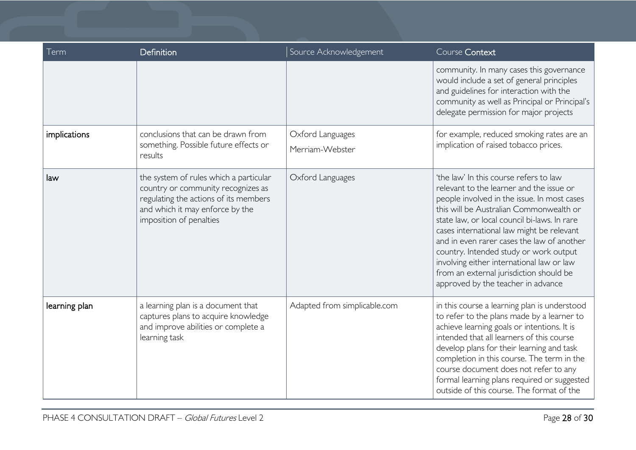| Term          | Definition                                                                                                                                                                          | Source Acknowledgement              | Course Context                                                                                                                                                                                                                                                                                                                                                                                                                                                                                  |
|---------------|-------------------------------------------------------------------------------------------------------------------------------------------------------------------------------------|-------------------------------------|-------------------------------------------------------------------------------------------------------------------------------------------------------------------------------------------------------------------------------------------------------------------------------------------------------------------------------------------------------------------------------------------------------------------------------------------------------------------------------------------------|
|               |                                                                                                                                                                                     |                                     | community. In many cases this governance<br>would include a set of general principles<br>and guidelines for interaction with the<br>community as well as Principal or Principal's<br>delegate permission for major projects                                                                                                                                                                                                                                                                     |
| implications  | conclusions that can be drawn from<br>something. Possible future effects or<br>results                                                                                              | Oxford Languages<br>Merriam-Webster | for example, reduced smoking rates are an<br>implication of raised tobacco prices.                                                                                                                                                                                                                                                                                                                                                                                                              |
| law           | the system of rules which a particular<br>country or community recognizes as<br>regulating the actions of its members<br>and which it may enforce by the<br>imposition of penalties | Oxford Languages                    | 'the law' In this course refers to law<br>relevant to the learner and the issue or<br>people involved in the issue. In most cases<br>this will be Australian Commonwealth or<br>state law, or local council bi-laws. In rare<br>cases international law might be relevant<br>and in even rarer cases the law of another<br>country. Intended study or work output<br>involving either international law or law<br>from an external jurisdiction should be<br>approved by the teacher in advance |
| learning plan | a learning plan is a document that<br>captures plans to acquire knowledge<br>and improve abilities or complete a<br>learning task                                                   | Adapted from simplicable.com        | in this course a learning plan is understood<br>to refer to the plans made by a learner to<br>achieve learning goals or intentions. It is<br>intended that all learners of this course<br>develop plans for their learning and task<br>completion in this course. The term in the<br>course document does not refer to any<br>formal learning plans required or suggested<br>outside of this course. The format of the                                                                          |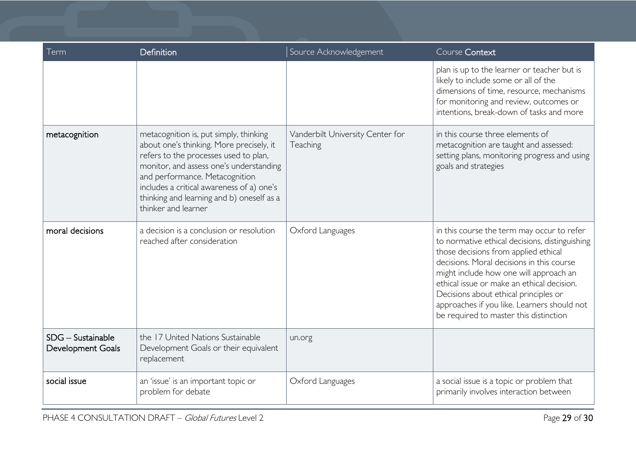| Term                                     | Definition                                                                                                                                                                                                                                                                                                                | Source Acknowledgement                       | Course Context                                                                                                                                                                                                                                                                                                                                                                                              |
|------------------------------------------|---------------------------------------------------------------------------------------------------------------------------------------------------------------------------------------------------------------------------------------------------------------------------------------------------------------------------|----------------------------------------------|-------------------------------------------------------------------------------------------------------------------------------------------------------------------------------------------------------------------------------------------------------------------------------------------------------------------------------------------------------------------------------------------------------------|
|                                          |                                                                                                                                                                                                                                                                                                                           |                                              | plan is up to the learner or teacher but is<br>likely to include some or all of the<br>dimensions of time, resource, mechanisms<br>for monitoring and review, outcomes or<br>intentions, break-down of tasks and more                                                                                                                                                                                       |
| metacognition                            | metacognition is, put simply, thinking<br>about one's thinking. More precisely, it<br>refers to the processes used to plan,<br>monitor, and assess one's understanding<br>and performance. Metacognition<br>includes a critical awareness of a) one's<br>thinking and learning and b) oneself as a<br>thinker and learner | Vanderbilt University Center for<br>Teaching | in this course three elements of<br>metacognition are taught and assessed:<br>setting plans, monitoring progress and using<br>goals and strategies                                                                                                                                                                                                                                                          |
| moral decisions                          | a decision is a conclusion or resolution<br>reached after consideration                                                                                                                                                                                                                                                   | Oxford Languages                             | in this course the term may occur to refer<br>to normative ethical decisions, distinguishing<br>those decisions from applied ethical<br>decisions. Moral decisions in this course<br>might include how one will approach an<br>ethical issue or make an ethical decision.<br>Decisions about ethical principles or<br>approaches if you like. Learners should not<br>be required to master this distinction |
| $SDG -$ Sustainable<br>Development Goals | the 17 United Nations Sustainable<br>Development Goals or their equivalent<br>replacement                                                                                                                                                                                                                                 | un.org                                       |                                                                                                                                                                                                                                                                                                                                                                                                             |
| social issue                             | an 'issue' is an important topic or<br>problem for debate                                                                                                                                                                                                                                                                 | Oxford Languages                             | a social issue is a topic or problem that<br>primarily involves interaction between                                                                                                                                                                                                                                                                                                                         |